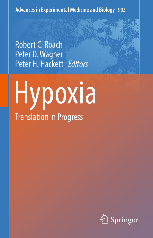**Advances in Experimental Medicine and Biology 903**

Robert C. Roach Peter D. Wagner Peter H. Hackett *Editors*

# Hypoxia Translation in Progress

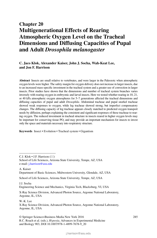# **Chapter 20 Multigenerational Effects of Rearing Atmospheric Oxygen Level on the Tracheal Dimensions and Diffusing Capacities of Pupal and Adult** *Drosophila melanogaster*

#### **C. Jaco Klok, Alexander Kaiser, John J. Socha, Wah-Keat Lee, and Jon F. Harrison**

**Abstract** Insects are small relative to vertebrates, and were larger in the Paleozoic when atmospheric oxygen levels were higher. The safety margin for oxygen delivery does not increase in larger insects, due to an increased mass-specific investment in the tracheal system and a greater use of convection in larger insects. Prior studies have shown that the dimensions and number of tracheal system branches varies inversely with rearing oxygen in embryonic and larval insects. Here we tested whether rearing in 10, 21, or 40 kPa atmospheric oxygen atmospheres for 5–7 generations affected the tracheal dimensions and diffusing capacities of pupal and adult *Drosophila*. Abdominal tracheae and pupal snorkel tracheae showed weak responses to oxygen, while leg tracheae showed strong, but imperfect compensatory changes. The diffusing capacity of leg tracheae appears closely matched to predicted oxygen transport needs by diffusion, perhaps explaining the consistent and significant responses of these tracheae to rearing oxygen. The reduced investment in tracheal structure in insects reared in higher oxygen levels may be important for conserving tissue  $PO<sub>2</sub>$  and may provide an important mechanism for insects to invest only the space and materials necessary into respiratory structure.

**Keywords** Insect • Evolution • Tracheal system • Gigantism

A. Kaiser Department of Basic Sciences, Midwestern University, Glendale, AZ, USA

School of Life Sciences, Arizona State University, Tempe, AZ, USA

J.J. Socha Engineering Science and Mechanics, Virginia Tech, Blacksburg, VI, USA

X-Ray Science Division, Advanced Photon Source, Argonne National Laboratory, Argonne, IL, USA

W.-K. Lee X-Ray Science Division, Advanced Photon Source, Argonne National Laboratory, Argonne, IL, USA

C.J. Klok • J.F. Harrison  $(\boxtimes)$ 

School of Life Sciences, Arizona State University, Tempe, AZ, USA e-mail: [j.harrison@asu.edu](mailto:j.harrison@asu.edu)

<sup>©</sup> Springer Science+Business Media New York 2016 285 R.C. Roach et al. (eds.), *Hypoxia*, Advances in Experimental Medicine and Biology 903, DOI 10.1007/978-1-4899-7678-9\_20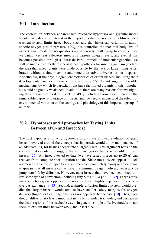#### **20.1 Introduction**

The correlation between apparent late-Paleozoic hyperoxia and gigantic insect fossils has galvanized interest in the hypothesis that possession of a blind-ended tracheal system limits insect body size, and that historical variation in atmospheric oxygen partial pressure  $(aPO<sub>2</sub>)$  has controlled the maximal body size of insects. Such evolutionary questions are inherently challenging to address since we cannot yet rear Paleozoic insects in various oxygen levels, and even if this becomes possible through a "Jurassic Park" miracle of molecular genetics, we will be unable to directly test ecological hypotheses for insect gigantism (such as the idea that insect giants were made possible by the lack of large flying vertebrates) without a time machine and some alternative universes at our disposal. Nonetheless, if the physiological characteristics of extant insects, including their developmental and evolutionary responses to  $aPO<sub>2</sub>$ , do not suggest plausible mechanisms by which hyperoxia might have facilitated gigantism, this hypothesis would be greatly weakened. In addition, there are many reasons for investigating the responses of modern insects to  $aPO_2$ , including biomedical interest in the remarkable hypoxia-tolerance of insects, and the need to understand the effects of environmental variation on the ecology and physiology of this important group of animals.

# **20.2 Hypotheses and Approaches for Testing Links Between** aPO<sub>2</sub> and **Insect Size**

The first hypothesis for why hyperoxia might have allowed evolution of giant insects revolved around the concept that hyperoxia would allow maintenance of an adequate  $PO<sub>2</sub>$  for tissues deeper into a larger insect. This argument rests on the concept that calculations suggest that diffusive gas exchange is possible in most insects [[25](#page-15-0)]. All insects tested to date (we have tested insects up to 20 g) can recover from complete short-duration anoxia. Since most insects appear to lack appreciable anaerobic capacity and are therefore completely paralyzed by anoxia, it appears that all insects can achieve the minimal oxygen delivery necessary to jump-start life by diffusion. However, most insects that have been examined utilize some type of convection, including tiny *Drosophila* [\[27,](#page-15-0) [38](#page-16-0), [39](#page-16-0)]. Large active insects such as grasshoppers and scarab beetles are highly dependent on convective gas exchange [[9](#page-15-0), [33](#page-16-0)]. Second, a simple diffusion-limited system would predict that larger insects would tend to have smaller safety margins for oxygen delivery (higher critical  $PO_2$ ); this does not appear to be the case [[10\]](#page-15-0). Thus, even though diffusion is clearly important in the blind-ended tracheoles, and perhaps in the distal regions of the tracheal system in general, simple diffusive models do not seem to explain links between a $PO<sub>2</sub>$  and insect size.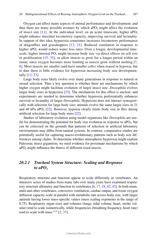Oxygen can affect many aspects of animal performance and development, and thus there are many possible avenues by which a $PQ_2$  might affect the evolution of insect size  $[11]$  $[11]$ . At the individual level, on an acute timescale, higher aPO<sub>2</sub> might enhance maximal locomotory capacity, improving survival and fecundity. In support of this idea, hyperoxia sometimes increases locomotory performance of dragonflies and grasshoppers [[13](#page-15-0), [21](#page-15-0)]. Reduced ventilation in response to higher aPO<sub>2</sub> would reduce water loss rates. Over a longer, developmental timescale, higher internal PO<sub>2</sub> might increase body size via direct effects on cell size or proliferation [[15](#page-15-0), [35](#page-16-0)], or allow insects to grow for a longer period within an instar, since oxygen becomes more limiting as insects grow without molting [[7](#page-14-0), [8](#page-14-0)]. Most insects are smaller (and have smaller cells) when reared in hypoxia, but to date there is little evidence for hyperoxia increasing body size developmentally [\[12,](#page-15-0) [23](#page-15-0)].

Large body sizes likely evolve over many generations in response to natural or sexual selection. Thus a key question is whether there are mechanisms by which higher oxygen might facilitate evolution of larger insect size. *Drosophila* evolves larger body sizes in hyperoxia [[23](#page-15-0)]. The mechanism for this effect is unclear; and experiments are needed to determine whether hyperoxia preferentially enhances survival or fecundity of larger *Drosophila*. Hyperoxia does not interact synergistically with selection for large body size; animals evolve the same larger sizes in 21 and 40 kPa aPO<sub>2</sub> [[22](#page-15-0)]. However, hypoxia clearly limits body size in flies during artificial selection for large body mass [[22\]](#page-15-0).

Studies of laboratory evolution using model organisms like *Drosophila* are useful for demonstrating the potential for body size evolution in response to  $aPO_2$ , but can be criticized on the grounds that patterns of selection in artificial laboratory environments may differ from natural systems. In contrast, comparative studies are potentially useful for capturing macro-evolutionary patterns such as body size differences among clades. To determine whether atmospheric hyperoxia might explain Paleozoic insect gigantism, we need evidence for proximate mechanisms by which aPO<sub>2</sub> might influence the fitness of different-sized insects.

# *20.2.1 Tracheal System Structure: Scaling and Response to aPO*<sub>2</sub>

Respiratory structure and function appear to scale differently in vertebrates. An intensive series of studies from many labs over many years have examined respiratory structure allometry and function in vertebrates [[6](#page-14-0), [17](#page-15-0), [18,](#page-15-0) [42](#page-16-0), [43\]](#page-16-0). In both mammals and other vertebrates, convective ventilation, cardiac output, and tissue oxygen diffusion capacity scale in parallel with metabolic rate across body size, with larger animals having lower mass-specific values (mass scaling exponents in the range of 0.75). Respiratory organ sizes and volumes (lungs, tidal volume, heart, stroke volume) tend to scale isometrically, while frequencies (breathing frequency, heart rate) tend to scale with mass<sup>-0.[2](#page-14-0)5</sup> [2, [37](#page-16-0)].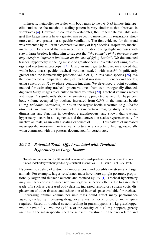In insects, metabolic rate scales with body mass to the 0.6–0.85 in most interspecific studies, so the metabolic scaling pattern is very similar to that observed in vertebrates [[4\]](#page-14-0). However, in contrast to vertebrates, the limited data available suggest that larger insects have a greater mass-specific investment in respiratory structures, and have greater mass-specific ventilation. The first evidence for this trend was presented by Miller in a comparative study of large beetles' respiratory mechanisms [[33](#page-16-0)]. He showed that mass-specific ventilation during flight increases with size in large beetles, leading him to suggest that "*the capacity of the thoracic pump may therefore impose a limitation on the size of flying beetles*". We documented tracheal hypermetry in the leg muscle of grasshoppers (tibia extensor) using histology and electron microscopy [\[14](#page-15-0)]. Using an inert gas technique, we showed that whole-body mass-specific tracheal volumes scaled with mass<sup>1.3</sup> (significantly greater than the isometrically predicted value of 1) in this same species [[26](#page-15-0)]. We then conducted a comparative study of tracheal investment in tenebrionid beetles, using synchrotron X-ray phase contrast imaging. We developed a point-counting method for estimating tracheal system volumes from two orthogonally directed, digitized X-ray images to calculate tracheal volumes [\[20](#page-15-0)]. Tracheal volumes scaled with mass<sup>1.29</sup>, significantly above the isometrically predicted value of 1. The percent body volume occupied by tracheae increased from 0.5% in the smallest beetle (2 mg *Tribolium castaneum*) to 5% in the largest beetle measured (2 g *Eleodes obscura*). We have recently completed a synchrotron imaging study of tracheal dimensions and function in developing grasshoppers, and shown that tracheal hypermetry occurs in all segments, and that convection scales hypermetrically for inactive animals, again with a scaling exponent of 1.3 [[9](#page-15-0)]. This pattern of increased mass-specific investment in tracheal structure is a surprising finding, especially when contrasted with the patterns documented for vertebrates.

# *20.2.2 Potential Trade-Offs Associated with Tracheal Hypermetry in Large Insects*

Trends in compensation by differential increase of area-dependent structures cannot be continued indefinitely without producing structural absurdities.—S.J. Gould. Biol. Rev. 1986.

Hypermetric scaling of a structure imposes costs and possibly constraints on larger animals. For example, larger vertebrates must have more upright postures, proportionally larger and thicker skeletons and reduced agility [\[1](#page-14-0)]. Tracheal hypermetry may similarly constrain insect size via negative selection effects due to associated trade-offs such as decreased body density, increased respiratory system costs, displacement of other tissues, and exhaustion of internal space available for tracheae.

Increasing animal volume per unit mass could affect many performance aspects, including increasing drag, lever arms for locomotion, or niche space required. Based on tracheal system scaling in grasshoppers, a 1 kg grasshopper would have a 3.7 l volume  $\ll 30\%$  of the density of a 10 mg hopper), greatly increasing the mass-specific need for nutrient investment in the exoskeleton and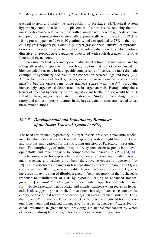tracheal system and likely the susceptibility to breakage [[9](#page-15-0)]. Tracheal system hypermetry could also lead to displacement of other tissues, reducing the animals' performance relative to those with a similar size. Percentage body volume occupied by nonrespiratory tissues falls exponentially with mass, from 92 % in 10 mg grasshoppers to 59 % in 10 g animals, and extrapolated to 27 % in theoretical 1 kg grasshoppers [[9](#page-15-0)]. Potentially, larger grasshoppers' survival or reproduction could decrease relative to smaller individuals due to reduced locomotory, digestive, or reproductive capacities associated with such decreases in relative functional tissue content.

Increasing tracheal hypermetry could also directly limit maximal insect size by filling all available space within key body regions that cannot be expanded for biomechanical reasons. In interspecific comparisons of beetles, the most dramatic example of hypermetry occurred at the connection between legs and body [[20](#page-15-0)]. Across four species of beetles, the leg orifice cross-sectional area scaled with mass<sup>0.77</sup>, but the orifice-penetrating tracheae scaled with mass<sup>1.02</sup>, occupying increasingly larger exoskeleton fractions in larger animals. Extrapolating these trends of tracheal hypermetry to the largest extant beetle, the leg would be 90% full of tracheae, suggesting a spatial limitation [\[20](#page-15-0)]. Studies of the scaling of respiratory and nonrespiratory structures in the largest extant insects are needed to test these extrapolations.

# *20.2.3 Developmental and Evolutionary Responses of the Insect Tracheal System to aPO<sub>2</sub>*

The need for tracheal hypermetry in larger insects provides a plausible mechanism by which possession of a tracheal respiratory system might limit insect size, and also has implications for the intriguing question of Paleozoic insect gigantism. The morphology of animal respiratory systems often responds both developmentally and evolutionarily to compensate for changes in  $aPO<sub>2</sub>$  [\[34,](#page-16-0) [41](#page-16-0)]. Insects compensate for hypoxia by developmentally increasing the diameters of major tracheae and tracheole numbers; the converse occurs in hyperoxia [[16](#page-15-0), [19](#page-15-0)]. As in vertebrates, changes in tracheal dimensions with changing  $aPO<sub>2</sub>$  are controlled by HIF (hypoxia-inducible factor) pathway responses. Hypoxia increases the expression of fibroblast growth factor receptors on the tracheae, in response to stabilization of HIF by hypoxia, leading to enhanced tracheal growth [[3](#page-14-0)]. *Drosophila melanogaster* larvae evolve larger tracheae when reared for multiple generations in hypoxia, and smaller tracheae when reared in hyperoxia  $[16]$  $[16]$  $[16]$ , suggesting that tracheal investment has significant costs (materials, energy, or space) that result in selection against excess tracheal structure. Thus, the higher aPO<sub>2</sub> in the late Paleozoic  $(c. 31 \text{ kPa})$  may have reduced tracheal system investment, and reduced the negative fitness consequences of excessive tracheal investment in giant insects, providing a plausible mechanism by which elevation in atmospheric oxygen level could enable insect gigantism.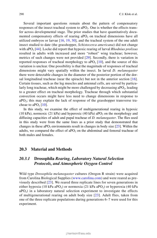Several important questions remain about the pattern of compensatory responses of the insect tracheal system to  $aPO_2$ . One is whether the effects transfer across developmental stage. The prior studies that have quantitatively documented compensatory effects of rearing  $aPO<sub>2</sub>$  on tracheal dimensions have all utilized embryos or larvae  $[16, 19, 30]$  $[16, 19, 30]$  $[16, 19, 30]$  $[16, 19, 30]$  $[16, 19, 30]$  $[16, 19, 30]$ , and the tracheal system of the one adult insect studied to date (the grasshopper, *Schistocerca americana*) did not change with aPO<sub>2</sub> [[44](#page-16-0)]. Locke did report that hypoxic rearing of larval *Rhodnius prolixus* resulted in adults with increased and more "robust" wing tracheae; however, metrics of such changes were not provided [[29](#page-15-0)]. Secondly, there is variation in reported responses of tracheal morphology to ap $O<sub>2</sub>$  [[10](#page-15-0)], and the source of this variation is unclear. One possibility is that the magnitude of responses of tracheal dimensions might vary spatially within the insect. In larval *D. melanogaster* there were detectable changes in the diameter of the posterior portion of the dorsal longitudinal tracheae (near the spiracle) but not in the anterior section [\[16](#page-15-0)]. Certain tissues, such as the leg muscles and antennal cells, are served by particularly long tracheae, which might be more challenged by decreasing  $aPO_2$ , leading to a greater effect on tracheal morphology. Tracheae through which substantial convection occurs might have less need to change dimensions in response to aPO2; this may explain the lack of response of the grasshopper transverse tracheae to ap $O<sub>2</sub>$  [[10](#page-15-0)].

In this study, we examine the effect of multigenerational rearing in hypoxic (10 kPa), normoxic (21 kPa) and hyperoxic (40 kPa) aPO<sub>2</sub> on the morphology and diffusing capacities of adult and pupal tracheae of *D. melanogaster*. The flies used in this study were from the same lines as a prior study that demonstrated that changes in these apsopute approximate result in changes in body size  $[23]$  $[23]$  $[23]$ . Within the adults, we compared the effect of  $aPO_2$  on the abdominal and femoral tracheae of both males and females.

#### **20.3 Material and Methods**

# *20.3.1* **Drosophila** *Rearing, Laboratory Natural Selection Protocols, and Atmospheric Oxygen Control*

Wild type *Drosophila melanogaster* cultures (Oregon R strain) were acquired from Carolina Biological Supplies ([www.carolina.com](http://www.carolina.com/)) and were reared as previously described [[23](#page-15-0)]. We reared three replicate lines for seven generations in either hypoxia (10 kPa aPO<sub>2</sub>) or normoxia (21 kPa aPO<sub>2</sub>) or hyperoxia (40 kPa  $aPO<sub>2</sub>$ ) in a laboratory natural selection experiment to investigate the effects of multigenerational rearing on adult body size [[23](#page-15-0)]. Adult flies, taken from one of the three replicate populations during generations 6–7 were used for this experiment.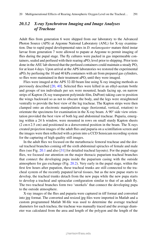# *20.3.2 X-ray Synchrotron Imaging and Image Analyses of Tracheae*

Adult flies from generation 6 were shipped from our laboratory to the Advanced Photon Source (APS) at Argonne National Laboratory (ANL) for X-ray examination. Due to rapid pupal developmental rates in *D. melanogaster* mature third instar larvae from generation 7 were allowed to pupate at Argonne to permit imaging of flies during the pupal stage. The fly cultures were packed in gas impermeable containers, sealed and perfused with their rearing ap $O<sub>2</sub>$  level prior to shipping. Prior tests done in the ASU lab showed that the perfused containers could maintain a steady  $PO<sub>2</sub>$ for at least 4 days. Upon arrival at the APS laboratories we restored the experimental  $aPO<sub>2</sub>$  by perfusing the 10 and 40 kPa containers with air from prepared gas cylinders, so flies were maintained in their treatment ap $O<sub>2</sub>$  until they were imaged.

Flies were imaged at the APS 32-ID beam line using X-ray imaging methods as previously described [\[20](#page-15-0), [40](#page-16-0)]. Selected flies were killed in an ethyl-acetate bottle and groups of ten individuals per sex were mounted, heads facing up, on narrow strips of Kapton (X-ray transparent polyimide film, DuPont) taking care to position the wings backward so as not to obscure the body, and the legs were straightened ventrally to provide the best view of the leg tracheae. The Kapton strips were then clamped onto an electronic manipulation stage (horizontal, vertical, rotation) to orientate the specimens for examination in the X-ray beam. A 90° side view orientation provided the best view of both leg and abdominal tracheae. Puparia, emerging within a 24 h window, were mounted in rows on small sturdy Kapton sheets  $(2 \text{ cm} \times 2.5 \text{ cm})$  and positioned in a dorsoventral position in the beam. The X-rays created projection images of the adult flies and puparia on a scintillation screen and the images were then reflected with a prism into a CCD Sensicam recording system for the capturing of high quality still images.

In the adult flies we focused on the metathoracic femoral tracheae and the dorsal tracheal branches coming off the sixth abdominal spiracles of female and male flies (see Fig. [20.1](#page-8-0) and also [[31](#page-15-0)] for detailed tracheal layouts). For the pupal-stage flies, we focused our attention on the major thoracic puparium tracheal branches that connect the developing pupa inside the puparium casing with the outside atmosphere for gas exchange (Fig. [20.2\)](#page-9-0). Very early in the pupal stage, within the first few hours after pupation, these tracheal trunks are still connected to the tracheal system of the recently pupated larval tissues, but as the new pupae starts to develop, the tracheal trunks detach from the new pupa while the new pupa starts to develop a tracheal and spiracular configuration similar to that of an adult fly. The two tracheal branches form two 'snorkels' that connect the developing pupa to the outside atmosphere.

X-ray images of the flies and puparia were captured in tiff format and converted into jpg format. The converted and resized jpg files were imported in Matlab and a custom programmed Matlab M-file was used to determine the average tracheal diameters for each trachea; the tracheae was manually traced and the average diameter was calculated from the area and length of the polygon and the length of the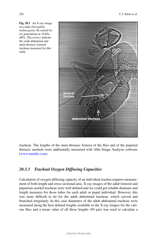<span id="page-8-0"></span>

**Fig. 20.1** An X-ray image of a male *Drosophila melanogaster* fly reared for six generations at 10 kPa aPO<sub>2</sub>. The *arrows* indicate the sixth abdominal and meta-thoracic femoral tracheae measured for this study

tracheae. The lengths of the meta-thoracic femora of the flies and of the puparial thoracic snorkels were additionally measured with Able Image Analysis software [\(www.mulabs.com](http://www.mulabs.com/)).

# *20.3.3 Tracheal Oxygen Diffusing Capacities*

Calculation of oxygen diffusing capacity of an individual trachea requires measurement of both length and cross-sectional area. X-ray images of the adult femoral and puparium snorkel tracheae were well defined and we could get reliable diameter and length measures for those tubes for each adult or pupal individual. However, this was more difficult to do for the adult abdominal tracheae, which curved and branched irregularly. In this case diameters of the adult abdominal tracheae were measured along the best defined lengths available in the X-ray images for the various flies and a mean value of all these lengths (94 μm) was used to calculate a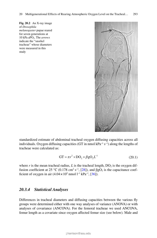<span id="page-9-0"></span>**Fig. 20.2** An X-ray image of *Drosophila melanogaster* pupae reared for seven generations at 10 kPa aPO<sub>2</sub>. The *arrows* indicate the "snorkel tracheae" whose diameters were measured in this study



standardized estimate of abdominal tracheal oxygen diffusing capacities across all individuals. Oxygen diffusing capacities (GT in nmol kPa<sup>-1</sup> s<sup>-1</sup>) along the lengths of tracheae were calculated as:

$$
GT = \pi r^2 \times DO_2 \times \beta gO_2 L^{-1}
$$
 (20.1)

where r is the mean tracheal radius, L is the tracheal length,  $DO<sub>2</sub>$  is the oxygen dif-fusion coefficient at 25 °C (0.178 cm<sup>2</sup> s<sup>-1</sup>, [[28](#page-15-0)]), and  $\beta$ gO<sub>2</sub> is the capacitance coefficient of oxygen in air  $(4.04 \times 10^5 \text{ nmol } 1^{-1} \text{ kPa}^{-1}, [36])$  $(4.04 \times 10^5 \text{ nmol } 1^{-1} \text{ kPa}^{-1}, [36])$  $(4.04 \times 10^5 \text{ nmol } 1^{-1} \text{ kPa}^{-1}, [36])$ .

## *20.3.4 Statistical Analyses*

Differences in tracheal diameters and diffusing capacities between the various fly groups were determined either with one way analyses of variance (ANOVA) or with analyses of covariance (ANCOVA). For the femoral tracheae we used ANCOVA, femur length as a covariate since oxygen affected femur size (see below). Male and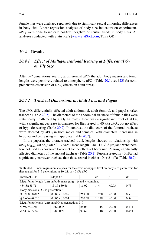female flies were analyzed separately due to significant sexual dimorphic differences in body size. Linear regression analyses of body size indicators on experimental aPO<sub>2</sub> were done to indicate positive, negative or neutral trends in body sizes. All analyses conducted with Statistica 8 [\(www.StatSoft.com,](http://www.statsoft.com/) Tulsa OK).

#### **20.4 Results**

# 20.4.1 *Effect of Multigenerational Rearing at Different aPO<sub>2</sub> on Fly Size*

After  $5-7$  generations' rearing at differential aPO<sub>2</sub> the adult body masses and femur lengths were positively related to atmospheric appoint and  $20.1$ ; see [[23](#page-15-0)] for comprehensive discussion of  $aPO<sub>2</sub>$  effects on adult sizes).

#### *20.4.2 Tracheal Dimensions in Adult Flies and Pupae*

The aPO<sub>2</sub> differentially affected adult abdominal, adult femoral, and pupal snorkel tracheae (Table [20.2\)](#page-11-0). The diameters of the abdominal tracheae of female flies were statistically unaffected by  $aPO<sub>2</sub>$ . In males, there was a significant effect of  $aPO<sub>2</sub>$ , with a significant decrease in diameter for flies reared in  $40 \text{ kPa}$  aPO<sub>2</sub>, but no effect of hypoxic rearing (Table [20.2](#page-11-0)). In contrast, the diameters of the femoral tracheae were affected by  $aPO_2$  in both males and females, with diameters increasing in hypoxia and decreasing in hyperoxia (Table [20.2](#page-11-0)).

In the puparia, the thoracic tracheal trunk lengths showed no relationship with aPO<sub>2</sub>  $(F_{(1, 29)} = 0.68, p = 0.52$ —Overall mean length—481.1 ± 33.8 µm) and were therefore not used as a covariate to correct for the effects of body size. Rearing significantly affected diameters of the snorkel tracheae (Table [20.2](#page-11-0)). Puparia reared in 40 kPa had significantly narrower tracheae than those reared in either 10 or 21 kPa (Table [20.2](#page-11-0)).

| Intercept $\pm$ SE                   | $Slope \pm SE$                                                                   | F      | df     | $\boldsymbol{p}$ | $R^2$ |
|--------------------------------------|----------------------------------------------------------------------------------|--------|--------|------------------|-------|
|                                      | Meta-femur length ( $\mu$ m) on body mass (mg)— $\varphi$ and $\varphi$ combined |        |        |                  |       |
| $484.5 \pm 38.71$                    | $131.7 \pm 39.66$                                                                | 11.02  | 1, 4   | < 0.03           | 0.73  |
| Body mass on a $PO2$ at generation 6 |                                                                                  |        |        |                  |       |
| $9.950 \pm 0.012$                    | $0.008 \pm 0.0005$                                                               | 269.38 | 1,268  | < 0.0001         | 0.50  |
| $\lambda$ 0.636 ± 0.010              | $0.006 \pm 0.0004$                                                               | 260.38 | 1.178  | < 0.0001         | 0.59  |
|                                      | Meta-femur length ( $\mu$ m) on aPO <sub>2</sub> at generations 5–7              |        |        |                  |       |
| $9597.9 \pm 3.91$                    | $1.36 \pm 0.15$                                                                  | 88.06  | 1, 115 | < 0.0001         | 0.434 |
| $\lambda$ 543.6 ± 5.34               | $1.98 \pm 0.20$                                                                  | 97.62  | 1.118  | < 0.0001         | 0.453 |

**Table 20.1** Linear regression analyses for the effect of oxygen level on body size parameters for flies reared for 5–7 generations at 10, 21, or 40 kPa aPO<sub>2</sub>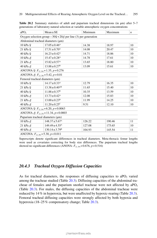| aPO <sub>2</sub> | $Mean \pm SE$                                                       | Minimum | Maximum | $\boldsymbol{n}$ |
|------------------|---------------------------------------------------------------------|---------|---------|------------------|
|                  | Oxygen selection group—309 + $20\delta$ per line (3) per generation |         |         |                  |
|                  | Abdominal tracheal diameters $(\mu m)$                              |         |         |                  |
| 10 kPa 9         | $17.05 \pm 0.46$ <sup>A</sup>                                       | 14.38   | 18.97   | 10               |
| $21$ kPa $9$     | $17.51 \pm 0.70$ <sup>A</sup>                                       | 14.08   | 20.47   | 10               |
| 40 kPa 9         | $16.23 \pm 0.42^{\text{A}}$                                         | 14.71   | 18.86   | 10               |
| 10 kPa $\delta$  | $15.47 \pm 0.28$ <sup>A</sup>                                       | 14.78   | 17.61   | 10               |
| 21 kPa $\sigma$  | $15.82 \pm 0.57$ <sup>A</sup>                                       | 13.65   | 18.80   | 10               |
| 40 kPa $\delta$  | $13.88 \pm 0.27^{\rm B}$                                            | 13.09   | 15.61   | 10               |
|                  | ANCOVA Q: $F_{(2,26)} = 1.35$ , $p = 0.276$                         |         |         |                  |
|                  | ANCOVA $\sigma$ : $F_{(2,26)} = 5.42$ , $p = 0.01$                  |         |         |                  |
|                  | Femoral tracheal diameters $(\mu m)$                                |         |         |                  |
| 10 kPa 9         | $14.17 \pm 0.33$ <sup>A</sup>                                       | 12.79   | 16.35   | 10               |
| $21$ kPa $9$     | $13.38 \pm 0.40$ <sup>AB</sup>                                      | 11.65   | 15.40   | 10               |
| 40 kPa 9         | $11.88 \pm 0.37^{\rm B}$                                            | 10.35   | 13.59   | 10               |
| 10 kPa $\delta$  | $13.73 \pm 0.42^{\text{A}}$                                         | 12.08   | 15.83   | 10               |
| 21 kPa $\delta$  | $13.00 \pm 0.23^{\rm B}$                                            | 11.99   | 14.25   | 10               |
| 40 kPa $\delta$  | $11.20 \pm 0.25$ <sup>c</sup>                                       | 9.51    | 12.10   | 10               |
|                  | ANCOVA Q: $F_{(2,26)} = 6.20$ , $p = 0.0063$                        |         |         |                  |
|                  | ANCOVA $\sigma$ : $F_{(2,25)} = 11.34$ , $p = 0.0003$               |         |         |                  |
|                  | Puparium tracheal diameters $(\mu m)$                               |         |         |                  |
| 10 kPa $\delta$  | $148.37 \pm 5.67^{\text{A}}$                                        | 126.22  | 190.46  | 11               |
| 21 kPa $\delta$  | $149.49 \pm 4.55^{\text{A}}$                                        | 127.08  | 175.65  | 10               |
| 40 kPa $\delta$  | $130.14 \pm 3.79$ <sup>B</sup>                                      | 104.93  | 145.54  | 11               |
|                  | ANCOVA: $F_{(2,26)} = 5.30, p < 0.011$                              |         |         |                  |

<span id="page-11-0"></span>**Table 20.2** Summary statistics of adult and puparium tracheal dimensions (in um) after 5–7 generations of laboratory natural selection at variable atmospheric oxygen concentrations

Superscripts denote significant differences in tracheal diameters. Meta-thoracic femur lengths were used as covariates correcting for body size differences. The puparium tracheal lengths showed no significant differences (ANOVA:  $F_{(2, 29)}$ =0.676,  $p$ =0.516)

# *20.4.3 Tracheal Oxygen Diffusion Capacities*

As for tracheal diameters, the responses of diffusing capacities to  $aPO<sub>2</sub>$  varied among the tracheae studied (Table [20.3\)](#page-12-0). Diffusing capacities of the abdominal tracheae of females and the puparium snorkel tracheae were not affected by  $aPO<sub>2</sub>$ (Table [20.3](#page-12-0)). For males, the diffusing capacities of the abdominal tracheae were reduced by 14% in hyperoxia, but were unaffected by hypoxic-rearing (Table [20.3](#page-12-0)). Femoral tracheal diffusing capacities were strongly affected by both hypoxia and hyperoxia (18–25% compensatory change; Table [20.3](#page-12-0)).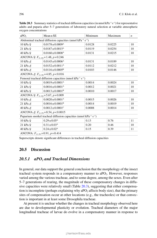| aPO <sub>2</sub> | $Mean \pm SE$                                                                     | Minimum | Maximum | $\boldsymbol{n}$ |
|------------------|-----------------------------------------------------------------------------------|---------|---------|------------------|
|                  | Abdominal tracheal diffusion capacities (nmol kPa <sup>-1</sup> s <sup>-1</sup> ) |         |         |                  |
| 10 kPa 9         | $0.0178 \pm 0.0009$ <sup>A</sup>                                                  | 0.0128  | 0.0225  | 10               |
| $21$ kPa $9$     | $0.0187 \pm 0.0015$ <sup>A</sup>                                                  | 0.0119  | 0.0254  | 10               |
| 40 kPa 9         | $0.0160 \pm 0.0008$ <sup>A</sup>                                                  | 0.0131  | 0.0215  | 10               |
|                  | ANCOVA Q: $F_{(2,26)} = 1.48$ , $p = 0.246$                                       |         |         |                  |
| 10 kPa $\delta$  | $0.0145 \pm 0.0006$ <sup>A</sup>                                                  | 0.0131  | 0.0189  | 10               |
| 21 kPa $\sigma$  | $0.0152 \pm 0.0011$ <sup>A</sup>                                                  | 0.0112  | 0.0212  | 10               |
| 40 kPa ♂         | $0.0116 \pm 0.0005^{\text{B}}$                                                    | 0.0103  | 0.0146  | 10               |
|                  | ANCOVA $\sigma$ : $F_{(2,26)}$ =4.85, p<0.016                                     |         |         |                  |
|                  | Femoral tracheal diffusion capacities (nmol $kPa^{-1} s^{-1}$ )                   |         |         |                  |
| 10 kPa 9         | $0.0019 \pm 0.0001$ <sup>A</sup>                                                  | 0.0014  | 0.0024  | 10               |
| $21$ kPa $9$     | $0.0016 \pm 0.0001$ <sup>A</sup>                                                  | 0.0012  | 0.0021  | 10               |
| 40 kPa 9         | $0.0013 \pm 0.0001$ <sup>B</sup>                                                  | 0.0010  | 0.0017  | 10               |
|                  | ANCOVA 9: $F_{(2,26)} = 5.67$ , $p = 0.009$                                       |         |         |                  |
| 10 kPa $\delta$  | $0.0020 \pm 0.0001$ <sup>A</sup>                                                  | 0.0015  | 0.0026  | 10               |
| 21 kPa $\sigma$  | $0.0016 \pm 0.0001^{\text{B}}$                                                    | 0.0014  | 0.0019  | 10               |
| 40 kPa 3         | $0.0012 \pm 0.0001$ <sup>c</sup>                                                  | 0.0008  | 0.0014  | 10               |
|                  | ANCOVA $\sigma$ : $F_{(2,25)} = 8.54$ , $p < 0.0015$                              |         |         |                  |
|                  | Puparium snorkel tracheal diffusion capacities (nmol $kPa^{-1} s^{-1}$ )          |         |         |                  |
| 10 kPa 9         | $0.29 \pm 0.05^{\text{A}}$                                                        | 0.13    | 0.76    | 11               |
| $21$ kPa $9$     | $0.31 \pm 0.03^{\text{A}}$                                                        | 0.20    | 0.46    | 10               |
| 40 kPa 9         | $0.24 \pm 0.02^{\text{A}}$                                                        | 0.15    | 0.39    | 11               |
|                  | ANCOVA: $F_{(2,29)} = 0.91$ , $p = 0.414$                                         |         |         |                  |

<span id="page-12-0"></span>**Table 20.3** Summary statistics of tracheal diffusion capacities (in nmol kPa<sup>−1</sup> s<sup>−1</sup>) for representative adults and puparia after 5–7 generations of laboratory natural selection at variable atmospheric oxygen concentrations

Superscripts denote significant differences in tracheal diffusion capacities

## **20.5 Discussion**

## 20.5.1 *aPO<sub>2</sub>* and *Tracheal Dimensions*

In general, our data support the general conclusion that the morphology of the insect tracheal system responds in a compensatory manner to  $aPO<sub>2</sub>$ . However, responses varied among the various tracheae, and to some degree, among the sexes. Even after 5–7 generations of rearing, the magnitude of these compensatory changes in diffusive capacities were relatively small (Table 20.3), suggesting that either compensation is incomplete (perhaps explaining why a $PO_2$  affects body size), that the primary sites of compensation occur at other locations (e.g., the tracheoles) or that convection is important in at least some Drosophila tracheae.

At present it is unclear whether the changes in tracheal morphology observed here are due to developmental plasticity or evolution. Tracheal diameters of the major longitudinal tracheae of larvae do evolve in a compensatory manner in response to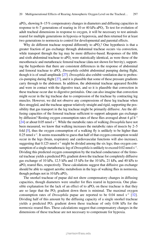$aPO<sub>2</sub>$ , showing  $8-15\%$  compensatory changes in diameters and diffusing capacities in response to  $6-7$  generations of rearing in 10 or 40 kPa aPO<sub>2</sub>. To test for evolution of adult tracheal dimensions in response to oxygen, it will be necessary to test animals reared for multiple generations in hypoxia or hyperoxia, and then returned for at least two generations to normoxia to control for developmental and parental effects.

Why do different tracheae respond differently to  $aPO<sub>2</sub>$ ? One hypothesis is that a greater fraction of gas exchange through abdominal tracheae occurs via convection, while transport through the leg may be more diffusive-based. Responses of the fifth and sixth abdominal tracheae to  $aPO<sub>2</sub>$  were statistically identical, as were those of the mesothoracic and metathoracic femoral tracheae (data not shown for brevity), supporting the hypothesis that there are consistent differences in the response of abdominal and femoral tracheae to aPO<sub>2</sub>. *Drosophila* exhibit abdominal pumping during flight, though it is of small amplitude [[27](#page-15-0)]. *Drosophila* also exhibit ventilation due to proboscis-pumping during flight [[27](#page-15-0)], and it is plausible that some of these pressure gradients carry through to the abdomen. In addition, the abdominal tracheae appeared flexible and were in contact with the digestive tract, and so it is plausible that convection in these tracheae occur due to digestive peristalsis. One can also imagine that convection might occur in the leg tracheae due to compression of the tracheae by contracting leg muscles. However, we did not observe any compressions of these leg tracheae when flies struggled, and the tracheae appear relatively straight and rigid, supporting the possibility that gas transport in the leg tracheae might be primarily diffusive. Are the diffusing capacities of the femoral tracheae sufficient to support adequate gas exchange by diffusion? Resting oxygen consumption rates of these flies averaged about 4  $\mu$ l h<sup>-1</sup> [\[24\]](#page-15-0) or about 0.05 nmol s−1. While the metabolic rates of walking *Drosophila* have not been measured, we know that walking increases the metabolic rates of insects by 2–5 fold [[5](#page-14-0)], thus the oxygen consumption of a walking fly is unlikely to be higher than 0.25 nmols−1. It seems reasonable to guess that half of that oxygen consumption would occur in the legs (brain, respiratory and cardiovascular functions will also increase), suggesting that 0.125 nmol s<sup>-1</sup> might be divided among the six legs; thus oxygen consumption of a single metathoracic leg of *Drosophila* is unlikely to exceed 0.02 nmol s<sup>−1</sup>. Dividing this predicted oxygen consumption by the tracheal conductance of the femoral tracheae yields a predicted  $PO_2$  gradient down the tracheae for completely diffusive gas exchange of 10 kPa, 12.5 kPa and 15 kPa for the 10 kPa, 21 kPa, and 40 kPa to  $aPO<sub>2</sub>$  reared flies, respectively. These calculations suggest that diffusive gas exchange should be able to support aerobic metabolism in the legs of walking flies in normoxia, though perhaps not in 10 kPa aP $O_2$ .

The snorkel tracheae of pupae did not show compensatory changes in diffusing capacities, though diameters were smaller for flies reared in hyperoxia. One plausible explanation for the lack of an effect of to  $aPO<sub>2</sub>$  on these tracheae is that they are so large that the  $PQ<sub>2</sub>$  gradient down them is minimal. The maximal oxygen consumption rates of *Drosophila* pupae are reported to be 0.04 nmol s−1 [[32\]](#page-16-0). Dividing half of this amount by the diffusing capacity of a single snorkel tracheae yields a predicted  $PO_2$  gradient down these tracheae of only 0.06 kPa for the normoxic-reared flies. These calculations suggest that compensatory changes in the dimensions of these tracheae are not necessary to compensate for hypoxia.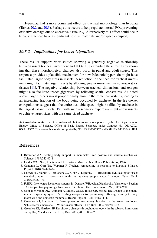<span id="page-14-0"></span>Hyperoxia had a more consistent effect on tracheal morphology than hypoxia (Tables  $20.2$  and  $20.3$ ). Perhaps this occurs to help regulate internal PO<sub>2</sub>, preventing oxidative damage due to excessive tissue PO<sub>2</sub>. Alternatively this effect could occur because tracheae have a significant cost (in materials and/or space occupied).

#### *20.5.2 Implications for Insect Gigantism*

These results support prior studies showing a generally negative relationship between insect tracheal investment and  $aPO<sub>2</sub>[10]$  $aPO<sub>2</sub>[10]$ , extending these results by showing that these morphological changes also occur in pupal and adult stages. This response provides a plausible mechanism for how Paleozoic hyperoxia might have facilitated larger body sizes in insects. A reduction in the need for tracheal investment might facilitate larger insects by allowing greater investment in nonrespiratory tissues [[11\]](#page-15-0). The negative relationship between tracheal dimensions and oxygen might also facilitate insect gigantism by relieving spatial constraints. As noted above, larger insects invest proportionally more in their tracheal systems, leading to an increasing fraction of the body being occupied by tracheae. In the leg coxae, extrapolations suggest that the entire available space might be filled by tracheae in the largest extant insects [\[19](#page-15-0)]; with such a scenario, hyperoxia might allow insects to achieve larger sizes with the same-sized tracheae.

**Acknowledgements** Use of the Advanced Photon Source was supported by the U.S. Department of Energy, Office of Science, Office of Basic Energy Sciences, under Contract No. DE-AC02- 06CH11357. This research was also supported by NSF EAR 0746352 and NSF IBN 0419704 to JFH.

#### **References**

- 1. Biewener AA. Scaling body support in mammals: limb posture and muscle mechanics. Science. 1989;245:45–8.
- 2. Calder WAI. Size, function and life history. Mineola, NY: Dover Publications; 1996.
- 3. Centanin L, Gorr TA, Wappner P. Tracheal remodelling in response to hypoxia. J Insect Physiol. 2010;56:447–54.
- 4. Chown SL, Marais E, Terblanche JS, Klok CJ, Lighton JRB, Blackburn TM. Scaling of insect metabolic rate is inconsistent with the nutrient supply network model. Funct Ecol. 2007;21:282–90.
- 5. Full RJ. Invertebrate locomotor systems. In: Dantzler WH, editor. Handbook of physiology. Section 13: Comparative physiology. New York, NY: Oxford University Press; 1997. p. 853–930.
- 6. Gehr P, Mwangi DK, Ammann A, Maloiy GMO, Taylor CR, Weibel ER. Design of the mammalian respiratory system. V. Scaling morphometric pulmonary diffusing capacity to body mass: wild and domestic mammals. Respir Physiol. 1981;44:87–111.
- 7. Greenlee KJ, Harrison JF. Development of respiratory function in the American locust Schistocerca americana II. Within-instar effects. J Exp Biol. 2004;207:509–17.
- 8. Greenlee KJ, Harrison JF. Respiratory changes throughout ontogeny in the tobacco hornworm caterpillar, Manduca sexta. J Exp Biol. 2005;208:1385–92.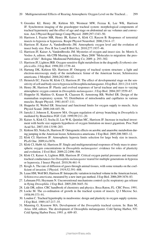- <span id="page-15-0"></span>9. Greenlee KJ, Henry JR, Kirkton SD, Westneat MW, Fezzaa K, Lee WK, Harrison JF. Synchrotron imaging of the grasshopper tracheal system: morphological components of tracheal hypermetry and the effect of age and stage on abdominal air sac volumes and convection. Am J Physiol Regul Integr Comp Physiol. 2009;297:1343–50.
- 10. Harrison J, Frazier MR, Henry JR, Kaiser A, Klok CJ, Rascon B. Responses of terrestrial insects to hypoxia or hyperoxia. Respir Physiol Neurobiol. 2006;154:4–17.
- 11. Harrison JF, Kaiser A, VandenBrooks JM. Atmospheric oxygen level and the evolution of insect body size. Proc R Soc Lond B Biol Sci. 2010;277:1937–46.
- 12. Harrison JF, Kaiser A, VandenBrooks JM. Mysteries of oxygen and insect size. In: Morris S, Vosloo A, editors. 4th CPB Meeting in Africa: Mara 2008 "Molecules to migration: the pressures of life". Bologna: Medimond Publishing Co; 2009. p. 293–302.
- 13. Harrison JF, Lighton JRB. Oxygen-sensitive flight metabolism in the dragonfly *Erythemis simplicicollis*. J Exp Biol. 1998;201:1739–44.
- 14. Hartung DK, Kirkton SD, Harrison JF. Ontogeny of tracheal system structure: a light and electron-microscopy study of the metathoracic femur of the American locust, Schistocerca americana. J Morphol. 2004;262:800–12.
- 15. Heinrich EC, Farzin M, Klok CJ, Harrison JF. The effect of developmental stage on the sensitivity of cell and body size to hypoxia in Drosophila melanogaster. JExp Biol. 2011;214:1419.
- 16. Henry JR, Harrison JF. Plastic and evolved responses of larval tracheae and mass to varying atmospheric oxygen content in *Drosophila melanogaster*. J Exp Biol. 2004;207:3559–67.
- 17. Hoppeler H, Mathieu O, Krauer R, Claassen H, Armstrong RB, Weibel ER. Design of the mammalian respiratory system. VI. Distribution of mitochondria and capillaries in various muscles. Respir Physiol. 1981;44:87–111.
- 18. Hoppeler H, Weibel ER. Structural and functional limits for oxygen supply to muscle. Acta Physiol Scand. 2000;168:445–56.
- 19. Jarecki J, Johnson E, Krasnow MA. Oxygen regulation of airway branching in *Drosophila* is mediated by Branchless FGF. Cell. 1999;99:211–20.
- 20. Kaiser A, Klok CJ, Socha JJ, Lee W-K, Quinlan MC, Harrison JF. Increase in tracheal investment with beetle size supports hypothesis of oxygen limitation on insect gigantism. Proc Natl Acad Sci. 2007;104:13198–203.
- 21. Kirkton SD, Niska JA, Harrison JF. Ontogenetic effects on aerobic and anaerobic metabolism during jumping in the American locust, Schistocerca americana. J Exp Biol. 2005;208:3003–12.
- 22. Klok CJ, Harrison JF. Atmospheric hypoxia limits selection for large body size in insects. PLoS One. 2009;4:e3876.
- 23. Klok CJ, Hubb AJ, Harrison JF. Single and multigenerational responses of body mass to atmospheric oxygen concentrations in *Drosophila melanogaster*: evidence for roles of plasticity and evolution. J Evol Biol. 2009;22:2496–504.
- 24. Klok CJ, Kaiser A, Lighton JRB, Harrison JF. Critical oxygen partial pressures and maximal tracheal conductances for *Drosophila melanogaster* reared for multiple generations in hypoxia or hyperoxia. J Insect Physiol. 2010;56:461–9.
- 25. Krogh A. The rate of diffusion of gases through animal tissues, with some remarks on the coefficient of invasion. J Physiol. 1919;52:391–408.
- 26. Lease HM, Wolf BO, Harrison JF. Intraspecific variation in tracheal volume in the American locust, *Schistocerca americana*, measured by a new inert gas method. J Exp Biol. 2006;209:3476–83.
- 27. Lehmann FO, Heymann N. Unconventional mechanisms control cyclic respiratory gas release in flying *Drosophila*. J Exp Biol. 2005;208:3645–54.
- 28. Lide DR, editor. CRC handbook of chemistry and physics. Boca Raton, FL: CRC Press; 1991.
- 29. Locke M. The co-ordination of growth in the tracheal system of insects. Q J Microsc Sci. 1958;99:373–91.
- 30. Loudon C. Tracheal hypertrophy in mealworms: design and plasticity in oxygen supply systems. J Exp Biol. 1989;147:217–35.
- 31. Manning G, Krasnow MA. Development of the *Drosophila* tracheal system. In: Bate M, Arias AM, editors. The development of Drosophila melanogaster. Cold Spring Harbor, NY: Cold Spring Harbor Press; 1993. p. 609–85.